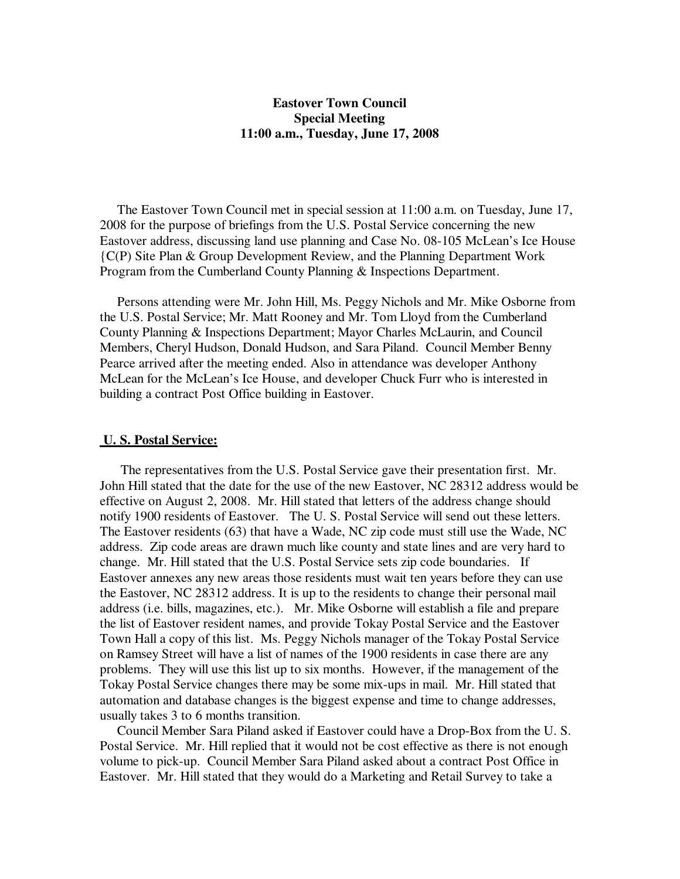## **Eastover Town Council Special Meeting 11:00 a.m., Tuesday, June 17, 2008**

 The Eastover Town Council met in special session at 11:00 a.m. on Tuesday, June 17, 2008 for the purpose of briefings from the U.S. Postal Service concerning the new Eastover address, discussing land use planning and Case No. 08-105 McLean's Ice House {C(P) Site Plan & Group Development Review, and the Planning Department Work Program from the Cumberland County Planning & Inspections Department.

 Persons attending were Mr. John Hill, Ms. Peggy Nichols and Mr. Mike Osborne from the U.S. Postal Service; Mr. Matt Rooney and Mr. Tom Lloyd from the Cumberland County Planning & Inspections Department; Mayor Charles McLaurin, and Council Members, Cheryl Hudson, Donald Hudson, and Sara Piland. Council Member Benny Pearce arrived after the meeting ended. Also in attendance was developer Anthony McLean for the McLean's Ice House, and developer Chuck Furr who is interested in building a contract Post Office building in Eastover.

#### **U. S. Postal Service:**

 The representatives from the U.S. Postal Service gave their presentation first. Mr. John Hill stated that the date for the use of the new Eastover, NC 28312 address would be effective on August 2, 2008. Mr. Hill stated that letters of the address change should notify 1900 residents of Eastover. The U. S. Postal Service will send out these letters. The Eastover residents (63) that have a Wade, NC zip code must still use the Wade, NC address. Zip code areas are drawn much like county and state lines and are very hard to change. Mr. Hill stated that the U.S. Postal Service sets zip code boundaries. If Eastover annexes any new areas those residents must wait ten years before they can use the Eastover, NC 28312 address. It is up to the residents to change their personal mail address (i.e. bills, magazines, etc.). Mr. Mike Osborne will establish a file and prepare the list of Eastover resident names, and provide Tokay Postal Service and the Eastover Town Hall a copy of this list. Ms. Peggy Nichols manager of the Tokay Postal Service on Ramsey Street will have a list of names of the 1900 residents in case there are any problems. They will use this list up to six months. However, if the management of the Tokay Postal Service changes there may be some mix-ups in mail. Mr. Hill stated that automation and database changes is the biggest expense and time to change addresses, usually takes 3 to 6 months transition.

 Council Member Sara Piland asked if Eastover could have a Drop-Box from the U. S. Postal Service. Mr. Hill replied that it would not be cost effective as there is not enough volume to pick-up. Council Member Sara Piland asked about a contract Post Office in Eastover. Mr. Hill stated that they would do a Marketing and Retail Survey to take a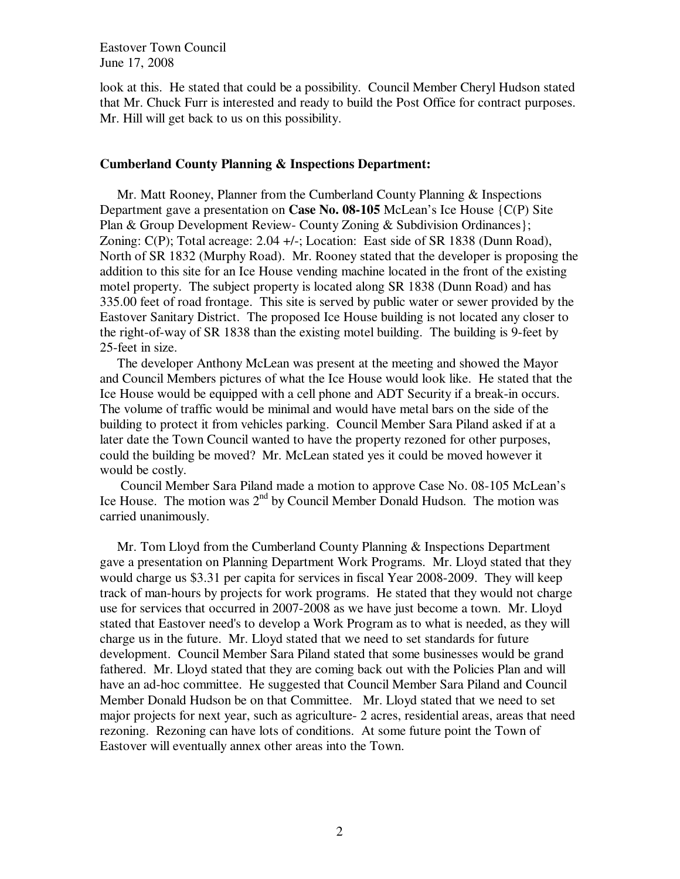Eastover Town Council June 17, 2008

look at this. He stated that could be a possibility. Council Member Cheryl Hudson stated that Mr. Chuck Furr is interested and ready to build the Post Office for contract purposes. Mr. Hill will get back to us on this possibility.

### **Cumberland County Planning & Inspections Department:**

 Mr. Matt Rooney, Planner from the Cumberland County Planning & Inspections Department gave a presentation on **Case No. 08-105** McLean's Ice House {C(P) Site Plan & Group Development Review- County Zoning & Subdivision Ordinances}; Zoning: C(P); Total acreage: 2.04 +/-; Location: East side of SR 1838 (Dunn Road), North of SR 1832 (Murphy Road). Mr. Rooney stated that the developer is proposing the addition to this site for an Ice House vending machine located in the front of the existing motel property. The subject property is located along SR 1838 (Dunn Road) and has 335.00 feet of road frontage. This site is served by public water or sewer provided by the Eastover Sanitary District. The proposed Ice House building is not located any closer to the right-of-way of SR 1838 than the existing motel building. The building is 9-feet by 25-feet in size.

 The developer Anthony McLean was present at the meeting and showed the Mayor and Council Members pictures of what the Ice House would look like. He stated that the Ice House would be equipped with a cell phone and ADT Security if a break-in occurs. The volume of traffic would be minimal and would have metal bars on the side of the building to protect it from vehicles parking. Council Member Sara Piland asked if at a later date the Town Council wanted to have the property rezoned for other purposes, could the building be moved? Mr. McLean stated yes it could be moved however it would be costly.

 Council Member Sara Piland made a motion to approve Case No. 08-105 McLean's Ice House. The motion was 2<sup>nd</sup> by Council Member Donald Hudson. The motion was carried unanimously.

 Mr. Tom Lloyd from the Cumberland County Planning & Inspections Department gave a presentation on Planning Department Work Programs. Mr. Lloyd stated that they would charge us \$3.31 per capita for services in fiscal Year 2008-2009. They will keep track of man-hours by projects for work programs. He stated that they would not charge use for services that occurred in 2007-2008 as we have just become a town. Mr. Lloyd stated that Eastover need's to develop a Work Program as to what is needed, as they will charge us in the future. Mr. Lloyd stated that we need to set standards for future development. Council Member Sara Piland stated that some businesses would be grand fathered. Mr. Lloyd stated that they are coming back out with the Policies Plan and will have an ad-hoc committee. He suggested that Council Member Sara Piland and Council Member Donald Hudson be on that Committee. Mr. Lloyd stated that we need to set major projects for next year, such as agriculture- 2 acres, residential areas, areas that need rezoning. Rezoning can have lots of conditions. At some future point the Town of Eastover will eventually annex other areas into the Town.